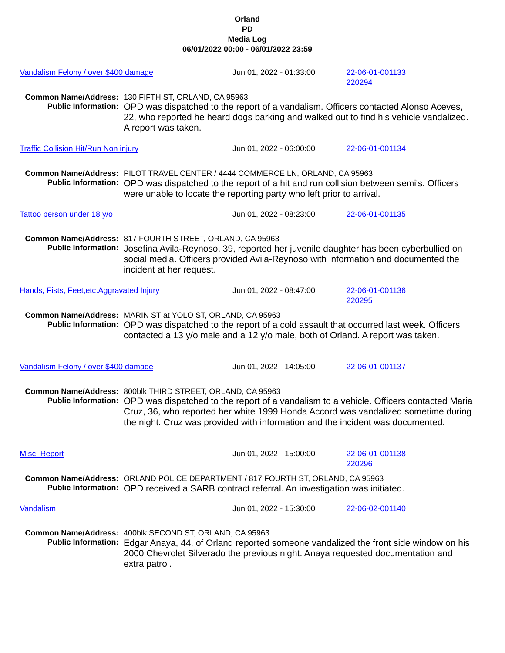## **Orland PD Media Log 06/01/2022 00:00 - 06/01/2022 23:59**

| Vandalism Felony / over \$400 damage        |                                                                                                                                                                                                                                                                                                                                                 | Jun 01, 2022 - 01:33:00 | 22-06-01-001133<br>220294 |  |
|---------------------------------------------|-------------------------------------------------------------------------------------------------------------------------------------------------------------------------------------------------------------------------------------------------------------------------------------------------------------------------------------------------|-------------------------|---------------------------|--|
|                                             | Common Name/Address: 130 FIFTH ST, ORLAND, CA 95963<br>Public Information: OPD was dispatched to the report of a vandalism. Officers contacted Alonso Aceves,<br>22, who reported he heard dogs barking and walked out to find his vehicle vandalized.<br>A report was taken.                                                                   |                         |                           |  |
| <b>Traffic Collision Hit/Run Non injury</b> |                                                                                                                                                                                                                                                                                                                                                 | Jun 01, 2022 - 06:00:00 | 22-06-01-001134           |  |
|                                             | Common Name/Address: PILOT TRAVEL CENTER / 4444 COMMERCE LN, ORLAND, CA 95963<br>Public Information: OPD was dispatched to the report of a hit and run collision between semi's. Officers<br>were unable to locate the reporting party who left prior to arrival.                                                                               |                         |                           |  |
| Tattoo person under 18 y/o                  |                                                                                                                                                                                                                                                                                                                                                 | Jun 01, 2022 - 08:23:00 | 22-06-01-001135           |  |
|                                             | Common Name/Address: 817 FOURTH STREET, ORLAND, CA 95963<br>Public Information: Josefina Avila-Reynoso, 39, reported her juvenile daughter has been cyberbullied on<br>social media. Officers provided Avila-Reynoso with information and documented the<br>incident at her request.                                                            |                         |                           |  |
| Hands, Fists, Feet, etc. Aggravated Injury  |                                                                                                                                                                                                                                                                                                                                                 | Jun 01, 2022 - 08:47:00 | 22-06-01-001136<br>220295 |  |
|                                             | Common Name/Address: MARIN ST at YOLO ST, ORLAND, CA 95963<br>Public Information: OPD was dispatched to the report of a cold assault that occurred last week. Officers<br>contacted a 13 y/o male and a 12 y/o male, both of Orland. A report was taken.                                                                                        |                         |                           |  |
| Vandalism Felony / over \$400 damage        |                                                                                                                                                                                                                                                                                                                                                 | Jun 01, 2022 - 14:05:00 | 22-06-01-001137           |  |
|                                             | Common Name/Address: 800blk THIRD STREET, ORLAND, CA 95963<br>Public Information: OPD was dispatched to the report of a vandalism to a vehicle. Officers contacted Maria<br>Cruz, 36, who reported her white 1999 Honda Accord was vandalized sometime during<br>the night. Cruz was provided with information and the incident was documented. |                         |                           |  |
| Misc. Report                                |                                                                                                                                                                                                                                                                                                                                                 | Jun 01, 2022 - 15:00:00 | 22-06-01-001138<br>220296 |  |
|                                             | Common Name/Address: ORLAND POLICE DEPARTMENT / 817 FOURTH ST, ORLAND, CA 95963<br>Public Information: OPD received a SARB contract referral. An investigation was initiated.                                                                                                                                                                   |                         |                           |  |
| Vandalism                                   |                                                                                                                                                                                                                                                                                                                                                 | Jun 01, 2022 - 15:30:00 | 22-06-02-001140           |  |
|                                             | Common Name/Address: 400blk SECOND ST, ORLAND, CA 95963<br>Public Information: Edgar Anaya, 44, of Orland reported someone vandalized the front side window on his<br>2000 Chevrolet Silverado the previous night. Anaya requested documentation and<br>extra patrol.                                                                           |                         |                           |  |